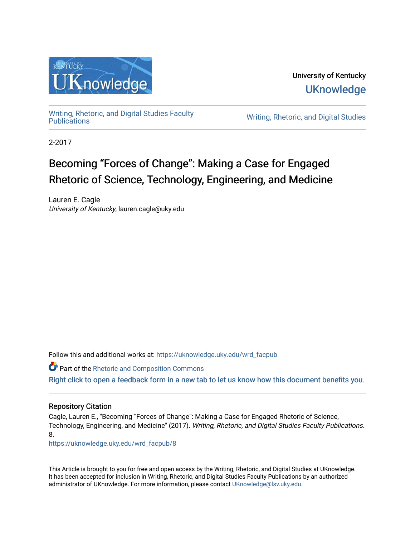

University of Kentucky **UKnowledge** 

[Writing, Rhetoric, and Digital Studies Faculty](https://uknowledge.uky.edu/wrd_facpub) 

Writing, Rhetoric, and Digital Studies

2-2017

# Becoming "Forces of Change": Making a Case for Engaged Rhetoric of Science, Technology, Engineering, and Medicine

Lauren E. Cagle University of Kentucky, lauren.cagle@uky.edu

Follow this and additional works at: [https://uknowledge.uky.edu/wrd\\_facpub](https://uknowledge.uky.edu/wrd_facpub?utm_source=uknowledge.uky.edu%2Fwrd_facpub%2F8&utm_medium=PDF&utm_campaign=PDFCoverPages)

**Part of the [Rhetoric and Composition Commons](http://network.bepress.com/hgg/discipline/573?utm_source=uknowledge.uky.edu%2Fwrd_facpub%2F8&utm_medium=PDF&utm_campaign=PDFCoverPages)** [Right click to open a feedback form in a new tab to let us know how this document benefits you.](https://uky.az1.qualtrics.com/jfe/form/SV_9mq8fx2GnONRfz7)

#### Repository Citation

Cagle, Lauren E., "Becoming "Forces of Change": Making a Case for Engaged Rhetoric of Science, Technology, Engineering, and Medicine" (2017). Writing, Rhetoric, and Digital Studies Faculty Publications. 8.

[https://uknowledge.uky.edu/wrd\\_facpub/8](https://uknowledge.uky.edu/wrd_facpub/8?utm_source=uknowledge.uky.edu%2Fwrd_facpub%2F8&utm_medium=PDF&utm_campaign=PDFCoverPages)

This Article is brought to you for free and open access by the Writing, Rhetoric, and Digital Studies at UKnowledge. It has been accepted for inclusion in Writing, Rhetoric, and Digital Studies Faculty Publications by an authorized administrator of UKnowledge. For more information, please contact [UKnowledge@lsv.uky.edu](mailto:UKnowledge@lsv.uky.edu).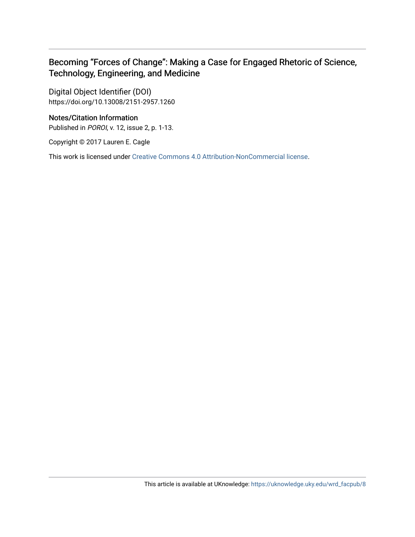## Becoming "Forces of Change": Making a Case for Engaged Rhetoric of Science, Technology, Engineering, and Medicine

Digital Object Identifier (DOI) https://doi.org/10.13008/2151-2957.1260

#### Notes/Citation Information

Published in POROI, v. 12, issue 2, p. 1-13.

Copyright © 2017 Lauren E. Cagle

This work is licensed under [Creative Commons 4.0 Attribution-NonCommercial license](https://creativecommons.org/licenses/by-nc/4.0/).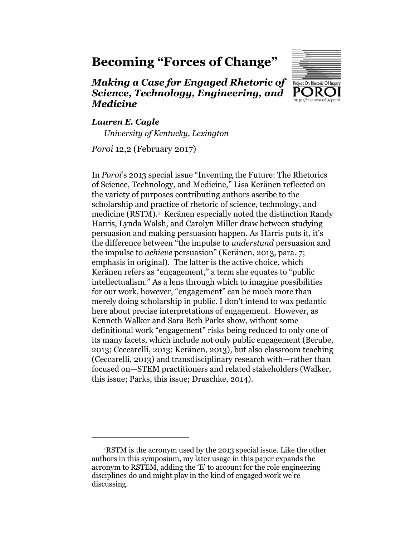# **Becoming "Forces of Change"**

## *Making a Case for Engaged Rhetoric of Science, Technology, Engineering, and Medicine*



#### *Lauren E. Cagle*

 $\overline{a}$ 

*University of Kentucky, Lexington*

*Poroi* 12,2 (February 2017)

In *Poroi*'s 2013 special issue "Inventing the Future: The Rhetorics of Science, Technology, and Medicine," Lisa Keränen reflected on the variety of purposes contributing authors ascribe to the scholarship and practice of rhetoric of science, technology, and medicine (RSTM).<sup>1</sup> Keränen especially noted the distinction Randy Harris, Lynda Walsh, and Carolyn Miller draw between studying persuasion and making persuasion happen. As Harris puts it, it's the difference between "the impulse to *understand* persuasion and the impulse to *achieve* persuasion" (Keränen, 2013, para. 7; emphasis in original). The latter is the active choice, which Keränen refers as "engagement," a term she equates to "public intellectualism." As a lens through which to imagine possibilities for our work, however, "engagement" can be much more than merely doing scholarship in public. I don't intend to wax pedantic here about precise interpretations of engagement. However, as Kenneth Walker and Sara Beth Parks show, without some definitional work "engagement" risks being reduced to only one of its many facets, which include not only public engagement (Berube, 2013; Ceccarelli, 2013; Keränen, 2013), but also classroom teaching (Ceccarelli, 2013) and transdisciplinary research with—rather than focused on—STEM practitioners and related stakeholders (Walker, this issue; Parks, this issue; Druschke, 2014).

<sup>1</sup>RSTM is the acronym used by the 2013 special issue. Like the other authors in this symposium, my later usage in this paper expands the acronym to RSTEM, adding the 'E' to account for the role engineering disciplines do and might play in the kind of engaged work we're discussing.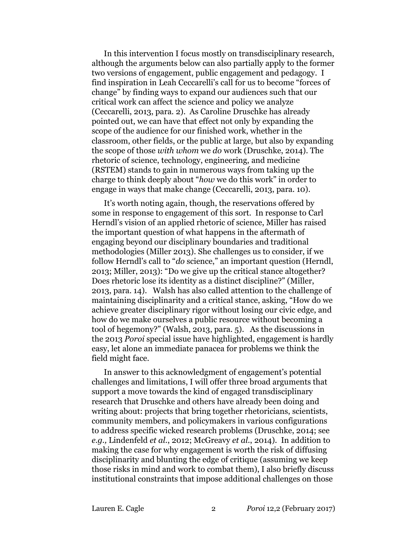In this intervention I focus mostly on transdisciplinary research, although the arguments below can also partially apply to the former two versions of engagement, public engagement and pedagogy. I find inspiration in Leah Ceccarelli's call for us to become "forces of change" by finding ways to expand our audiences such that our critical work can affect the science and policy we analyze (Ceccarelli, 2013, para. 2). As Caroline Druschke has already pointed out, we can have that effect not only by expanding the scope of the audience for our finished work, whether in the classroom, other fields, or the public at large, but also by expanding the scope of those *with whom* we *do* work (Druschke, 2014). The rhetoric of science, technology, engineering, and medicine (RSTEM) stands to gain in numerous ways from taking up the charge to think deeply about "*how* we do this work" in order to engage in ways that make change (Ceccarelli, 2013, para. 10).

It's worth noting again, though, the reservations offered by some in response to engagement of this sort. In response to Carl Herndl's vision of an applied rhetoric of science, Miller has raised the important question of what happens in the aftermath of engaging beyond our disciplinary boundaries and traditional methodologies (Miller 2013). She challenges us to consider, if we follow Herndl's call to "*do* science," an important question (Herndl, 2013; Miller, 2013): "Do we give up the critical stance altogether? Does rhetoric lose its identity as a distinct discipline?" (Miller, 2013, para. 14). Walsh has also called attention to the challenge of maintaining disciplinarity and a critical stance, asking, "How do we achieve greater disciplinary rigor without losing our civic edge, and how do we make ourselves a public resource without becoming a tool of hegemony?" (Walsh, 2013, para. 5). As the discussions in the 2013 *Poroi* special issue have highlighted, engagement is hardly easy, let alone an immediate panacea for problems we think the field might face.

In answer to this acknowledgment of engagement's potential challenges and limitations, I will offer three broad arguments that support a move towards the kind of engaged transdisciplinary research that Druschke and others have already been doing and writing about: projects that bring together rhetoricians, scientists, community members, and policymakers in various configurations to address specific wicked research problems (Druschke, 2014; see *e.g.,* Lindenfeld *et al.*, 2012; McGreavy *et al.*, 2014). In addition to making the case for why engagement is worth the risk of diffusing disciplinarity and blunting the edge of critique (assuming we keep those risks in mind and work to combat them), I also briefly discuss institutional constraints that impose additional challenges on those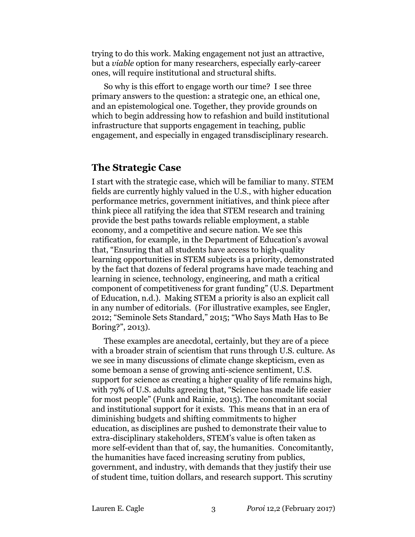trying to do this work. Making engagement not just an attractive, but a *viable* option for many researchers, especially early-career ones, will require institutional and structural shifts.

So why is this effort to engage worth our time? I see three primary answers to the question: a strategic one, an ethical one, and an epistemological one. Together, they provide grounds on which to begin addressing how to refashion and build institutional infrastructure that supports engagement in teaching, public engagement, and especially in engaged transdisciplinary research.

## **The Strategic Case**

I start with the strategic case, which will be familiar to many. STEM fields are currently highly valued in the U.S., with higher education performance metrics, government initiatives, and think piece after think piece all ratifying the idea that STEM research and training provide the best paths towards reliable employment, a stable economy, and a competitive and secure nation. We see this ratification, for example, in the Department of Education's avowal that, "Ensuring that all students have access to high-quality learning opportunities in STEM subjects is a priority, demonstrated by the fact that dozens of federal programs have made teaching and learning in science, technology, engineering, and math a critical component of competitiveness for grant funding" (U.S. Department of Education, n.d.). Making STEM a priority is also an explicit call in any number of editorials. (For illustrative examples, see Engler, 2012; "Seminole Sets Standard," 2015; "Who Says Math Has to Be Boring?", 2013).

These examples are anecdotal, certainly, but they are of a piece with a broader strain of scientism that runs through U.S. culture. As we see in many discussions of climate change skepticism, even as some bemoan a sense of growing anti-science sentiment, U.S. support for science as creating a higher quality of life remains high, with 79% of U.S. adults agreeing that, "Science has made life easier for most people" (Funk and Rainie, 2015). The concomitant social and institutional support for it exists. This means that in an era of diminishing budgets and shifting commitments to higher education, as disciplines are pushed to demonstrate their value to extra-disciplinary stakeholders, STEM's value is often taken as more self-evident than that of, say, the humanities. Concomitantly, the humanities have faced increasing scrutiny from publics, government, and industry, with demands that they justify their use of student time, tuition dollars, and research support. This scrutiny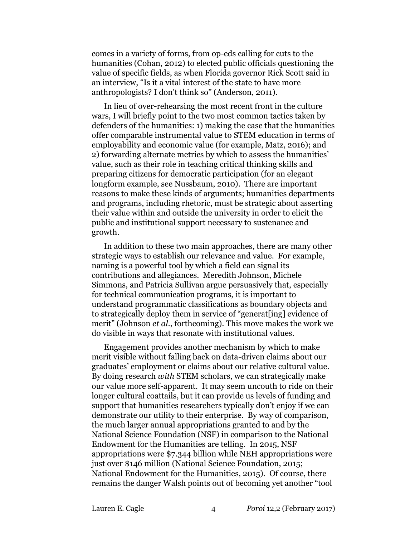comes in a variety of forms, from op-eds calling for cuts to the humanities (Cohan, 2012) to elected public officials questioning the value of specific fields, as when Florida governor Rick Scott said in an interview, "Is it a vital interest of the state to have more anthropologists? I don't think so" (Anderson, 2011).

In lieu of over-rehearsing the most recent front in the culture wars, I will briefly point to the two most common tactics taken by defenders of the humanities: 1) making the case that the humanities offer comparable instrumental value to STEM education in terms of employability and economic value (for example, Matz, 2016); and 2) forwarding alternate metrics by which to assess the humanities' value, such as their role in teaching critical thinking skills and preparing citizens for democratic participation (for an elegant longform example, see Nussbaum, 2010). There are important reasons to make these kinds of arguments; humanities departments and programs, including rhetoric, must be strategic about asserting their value within and outside the university in order to elicit the public and institutional support necessary to sustenance and growth.

In addition to these two main approaches, there are many other strategic ways to establish our relevance and value. For example, naming is a powerful tool by which a field can signal its contributions and allegiances. Meredith Johnson, Michele Simmons, and Patricia Sullivan argue persuasively that, especially for technical communication programs, it is important to understand programmatic classifications as boundary objects and to strategically deploy them in service of "generat[ing] evidence of merit" (Johnson *et al.*, forthcoming). This move makes the work we do visible in ways that resonate with institutional values.

Engagement provides another mechanism by which to make merit visible without falling back on data-driven claims about our graduates' employment or claims about our relative cultural value. By doing research *with* STEM scholars, we can strategically make our value more self-apparent. It may seem uncouth to ride on their longer cultural coattails, but it can provide us levels of funding and support that humanities researchers typically don't enjoy if we can demonstrate our utility to their enterprise. By way of comparison, the much larger annual appropriations granted to and by the National Science Foundation (NSF) in comparison to the National Endowment for the Humanities are telling. In 2015, NSF appropriations were \$7.344 billion while NEH appropriations were just over \$146 million (National Science Foundation, 2015; National Endowment for the Humanities, 2015). Of course, there remains the danger Walsh points out of becoming yet another "tool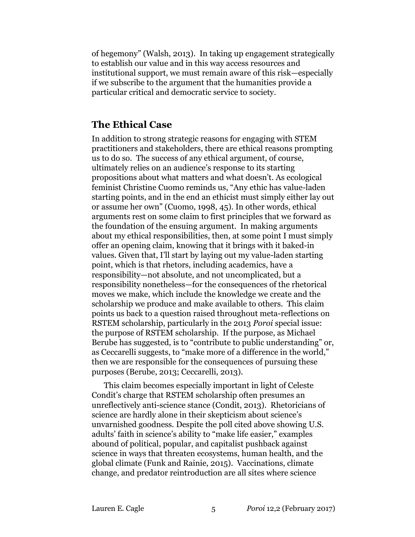of hegemony" (Walsh, 2013). In taking up engagement strategically to establish our value and in this way access resources and institutional support, we must remain aware of this risk—especially if we subscribe to the argument that the humanities provide a particular critical and democratic service to society.

### **The Ethical Case**

In addition to strong strategic reasons for engaging with STEM practitioners and stakeholders, there are ethical reasons prompting us to do so. The success of any ethical argument, of course, ultimately relies on an audience's response to its starting propositions about what matters and what doesn't. As ecological feminist Christine Cuomo reminds us, "Any ethic has value-laden starting points, and in the end an ethicist must simply either lay out or assume her own" (Cuomo, 1998, 45). In other words, ethical arguments rest on some claim to first principles that we forward as the foundation of the ensuing argument. In making arguments about my ethical responsibilities, then, at some point I must simply offer an opening claim, knowing that it brings with it baked-in values. Given that, I'll start by laying out my value-laden starting point, which is that rhetors, including academics, have a responsibility—not absolute, and not uncomplicated, but a responsibility nonetheless—for the consequences of the rhetorical moves we make, which include the knowledge we create and the scholarship we produce and make available to others. This claim points us back to a question raised throughout meta-reflections on RSTEM scholarship, particularly in the 2013 *Poroi* special issue: the purpose of RSTEM scholarship. If the purpose, as Michael Berube has suggested, is to "contribute to public understanding" or, as Ceccarelli suggests, to "make more of a difference in the world," then we are responsible for the consequences of pursuing these purposes (Berube, 2013; Ceccarelli, 2013).

This claim becomes especially important in light of Celeste Condit's charge that RSTEM scholarship often presumes an unreflectively anti-science stance (Condit, 2013). Rhetoricians of science are hardly alone in their skepticism about science's unvarnished goodness. Despite the poll cited above showing U.S. adults' faith in science's ability to "make life easier," examples abound of political, popular, and capitalist pushback against science in ways that threaten ecosystems, human health, and the global climate (Funk and Rainie, 2015). Vaccinations, climate change, and predator reintroduction are all sites where science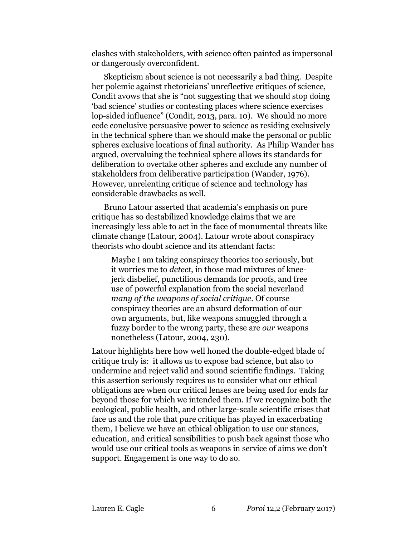clashes with stakeholders, with science often painted as impersonal or dangerously overconfident.

Skepticism about science is not necessarily a bad thing. Despite her polemic against rhetoricians' unreflective critiques of science, Condit avows that she is "not suggesting that we should stop doing 'bad science' studies or contesting places where science exercises lop-sided influence" (Condit, 2013, para. 10). We should no more cede conclusive persuasive power to science as residing exclusively in the technical sphere than we should make the personal or public spheres exclusive locations of final authority. As Philip Wander has argued, overvaluing the technical sphere allows its standards for deliberation to overtake other spheres and exclude any number of stakeholders from deliberative participation (Wander, 1976). However, unrelenting critique of science and technology has considerable drawbacks as well.

Bruno Latour asserted that academia's emphasis on pure critique has so destabilized knowledge claims that we are increasingly less able to act in the face of monumental threats like climate change (Latour, 2004). Latour wrote about conspiracy theorists who doubt science and its attendant facts:

Maybe I am taking conspiracy theories too seriously, but it worries me to *detect*, in those mad mixtures of kneejerk disbelief, punctilious demands for proofs, and free use of powerful explanation from the social neverland *many of the weapons of social critique*. Of course conspiracy theories are an absurd deformation of our own arguments, but, like weapons smuggled through a fuzzy border to the wrong party, these are *our* weapons nonetheless (Latour, 2004, 230).

Latour highlights here how well honed the double-edged blade of critique truly is: it allows us to expose bad science, but also to undermine and reject valid and sound scientific findings. Taking this assertion seriously requires us to consider what our ethical obligations are when our critical lenses are being used for ends far beyond those for which we intended them. If we recognize both the ecological, public health, and other large-scale scientific crises that face us and the role that pure critique has played in exacerbating them, I believe we have an ethical obligation to use our stances, education, and critical sensibilities to push back against those who would use our critical tools as weapons in service of aims we don't support. Engagement is one way to do so.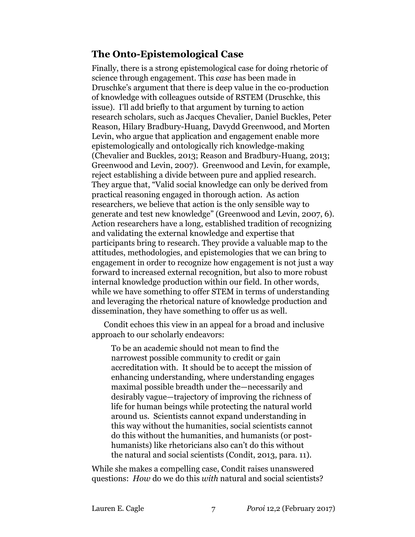# **The Onto-Epistemological Case**

Finally, there is a strong epistemological case for doing rhetoric of science through engagement. This *case* has been made in Druschke's argument that there is deep value in the co-production of knowledge with colleagues outside of RSTEM (Druschke, this issue). I'll add briefly to that argument by turning to action research scholars, such as Jacques Chevalier, Daniel Buckles, Peter Reason, Hilary Bradbury-Huang, Davydd Greenwood, and Morten Levin, who argue that application and engagement enable more epistemologically and ontologically rich knowledge-making (Chevalier and Buckles, 2013; Reason and Bradbury-Huang, 2013; Greenwood and Levin, 2007). Greenwood and Levin, for example, reject establishing a divide between pure and applied research. They argue that, "Valid social knowledge can only be derived from practical reasoning engaged in thorough action. As action researchers, we believe that action is the only sensible way to generate and test new knowledge" (Greenwood and Levin, 2007, 6). Action researchers have a long, established tradition of recognizing and validating the external knowledge and expertise that participants bring to research. They provide a valuable map to the attitudes, methodologies, and epistemologies that we can bring to engagement in order to recognize how engagement is not just a way forward to increased external recognition, but also to more robust internal knowledge production within our field. In other words, while we have something to offer STEM in terms of understanding and leveraging the rhetorical nature of knowledge production and dissemination, they have something to offer us as well.

Condit echoes this view in an appeal for a broad and inclusive approach to our scholarly endeavors:

To be an academic should not mean to find the narrowest possible community to credit or gain accreditation with. It should be to accept the mission of enhancing understanding, where understanding engages maximal possible breadth under the—necessarily and desirably vague—trajectory of improving the richness of life for human beings while protecting the natural world around us. Scientists cannot expand understanding in this way without the humanities, social scientists cannot do this without the humanities, and humanists (or posthumanists) like rhetoricians also can't do this without the natural and social scientists (Condit, 2013, para. 11).

While she makes a compelling case, Condit raises unanswered questions: *How* do we do this *with* natural and social scientists?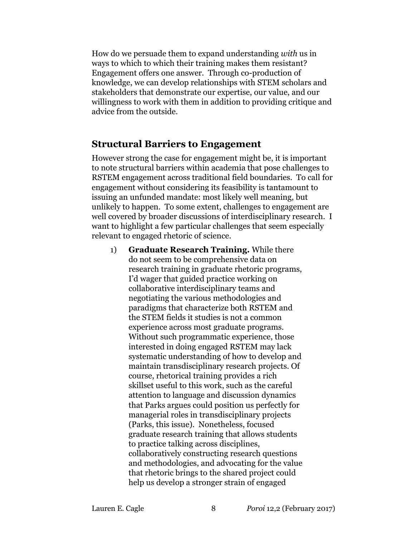How do we persuade them to expand understanding *with* us in ways to which to which their training makes them resistant? Engagement offers one answer. Through co-production of knowledge, we can develop relationships with STEM scholars and stakeholders that demonstrate our expertise, our value, and our willingness to work with them in addition to providing critique and advice from the outside.

## **Structural Barriers to Engagement**

However strong the case for engagement might be, it is important to note structural barriers within academia that pose challenges to RSTEM engagement across traditional field boundaries. To call for engagement without considering its feasibility is tantamount to issuing an unfunded mandate: most likely well meaning, but unlikely to happen. To some extent, challenges to engagement are well covered by broader discussions of interdisciplinary research. I want to highlight a few particular challenges that seem especially relevant to engaged rhetoric of science.

1) **Graduate Research Training.** While there do not seem to be comprehensive data on research training in graduate rhetoric programs, I'd wager that guided practice working on collaborative interdisciplinary teams and negotiating the various methodologies and paradigms that characterize both RSTEM and the STEM fields it studies is not a common experience across most graduate programs. Without such programmatic experience, those interested in doing engaged RSTEM may lack systematic understanding of how to develop and maintain transdisciplinary research projects. Of course, rhetorical training provides a rich skillset useful to this work, such as the careful attention to language and discussion dynamics that Parks argues could position us perfectly for managerial roles in transdisciplinary projects (Parks, this issue). Nonetheless, focused graduate research training that allows students to practice talking across disciplines, collaboratively constructing research questions and methodologies, and advocating for the value that rhetoric brings to the shared project could help us develop a stronger strain of engaged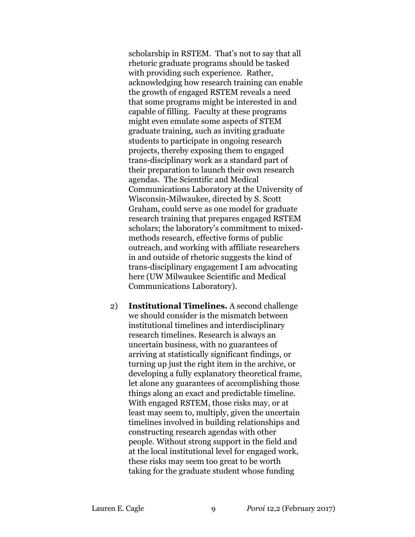scholarship in RSTEM. That's not to say that all rhetoric graduate programs should be tasked with providing such experience. Rather, acknowledging how research training can enable the growth of engaged RSTEM reveals a need that some programs might be interested in and capable of filling. Faculty at these programs might even emulate some aspects of STEM graduate training, such as inviting graduate students to participate in ongoing research projects, thereby exposing them to engaged trans-disciplinary work as a standard part of their preparation to launch their own research agendas. The Scientific and Medical Communications Laboratory at the University of Wisconsin-Milwaukee, directed by S. Scott Graham, could serve as one model for graduate research training that prepares engaged RSTEM scholars; the laboratory's commitment to mixedmethods research, effective forms of public outreach, and working with affiliate researchers in and outside of rhetoric suggests the kind of trans-disciplinary engagement I am advocating here (UW Milwaukee Scientific and Medical Communications Laboratory).

2) **Institutional Timelines.** A second challenge we should consider is the mismatch between institutional timelines and interdisciplinary research timelines. Research is always an uncertain business, with no guarantees of arriving at statistically significant findings, or turning up just the right item in the archive, or developing a fully explanatory theoretical frame, let alone any guarantees of accomplishing those things along an exact and predictable timeline. With engaged RSTEM, those risks may, or at least may seem to, multiply, given the uncertain timelines involved in building relationships and constructing research agendas with other people. Without strong support in the field and at the local institutional level for engaged work, these risks may seem too great to be worth taking for the graduate student whose funding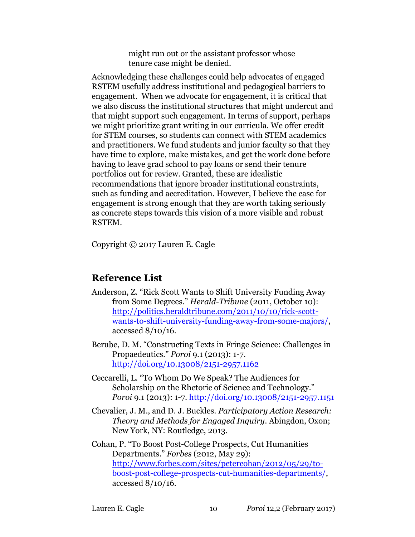might run out or the assistant professor whose tenure case might be denied.

Acknowledging these challenges could help advocates of engaged RSTEM usefully address institutional and pedagogical barriers to engagement. When we advocate for engagement, it is critical that we also discuss the institutional structures that might undercut and that might support such engagement. In terms of support, perhaps we might prioritize grant writing in our curricula. We offer credit for STEM courses, so students can connect with STEM academics and practitioners. We fund students and junior faculty so that they have time to explore, make mistakes, and get the work done before having to leave grad school to pay loans or send their tenure portfolios out for review. Granted, these are idealistic recommendations that ignore broader institutional constraints, such as funding and accreditation. However, I believe the case for engagement is strong enough that they are worth taking seriously as concrete steps towards this vision of a more visible and robust RSTEM.

Copyright © 2017 Lauren E. Cagle

# **Reference List**

Anderson, Z. "Rick Scott Wants to Shift University Funding Away from Some Degrees." *Herald-Tribune* (2011, October 10): [http://politics.heraldtribune.com/2011/10/10/rick-scott](http://politics.heraldtribune.com/2011/10/10/rick-scott-wants-to-shift-university-funding-away-from-some-majors/)[wants-to-shift-university-funding-away-from-some-majors/,](http://politics.heraldtribune.com/2011/10/10/rick-scott-wants-to-shift-university-funding-away-from-some-majors/) accessed 8/10/16.

Berube, D. M. "Constructing Texts in Fringe Science: Challenges in Propaedeutics." *Poroi* 9.1 (2013): 1-7. <http://doi.org/10.13008/2151-2957.1162>

- Ceccarelli, L. "To Whom Do We Speak? The Audiences for Scholarship on the Rhetoric of Science and Technology." *Poroi* 9.1 (2013): 1-7.<http://doi.org/10.13008/2151-2957.1151>
- Chevalier, J. M., and D. J. Buckles. *Participatory Action Research: Theory and Methods for Engaged Inquiry*. Abingdon, Oxon; New York, NY: Routledge, 2013.
- Cohan, P. "To Boost Post-College Prospects, Cut Humanities Departments." *Forbes* (2012, May 29): [http://www.forbes.com/sites/petercohan/2012/05/29/to](http://www.forbes.com/sites/petercohan/2012/05/29/to-boost-post-college-prospects-cut-humanities-departments/)[boost-post-college-prospects-cut-humanities-departments/,](http://www.forbes.com/sites/petercohan/2012/05/29/to-boost-post-college-prospects-cut-humanities-departments/) accessed 8/10/16.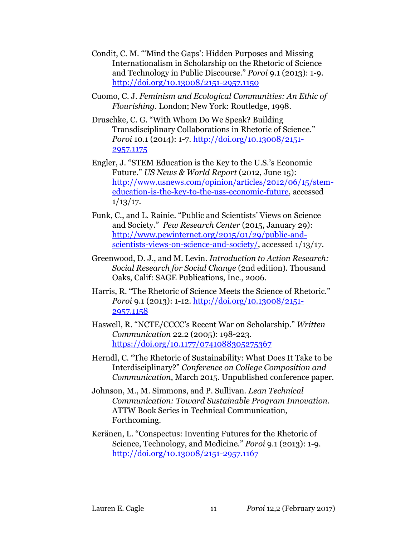- Condit, C. M. "'Mind the Gaps': Hidden Purposes and Missing Internationalism in Scholarship on the Rhetoric of Science and Technology in Public Discourse." *Poroi* 9.1 (2013): 1-9. <http://doi.org/10.13008/2151-2957.1150>
- Cuomo, C. J. *Feminism and Ecological Communities: An Ethic of Flourishing*. London; New York: Routledge, 1998.
- Druschke, C. G. "With Whom Do We Speak? Building Transdisciplinary Collaborations in Rhetoric of Science." *Poroi* 10.1 (2014): 1-7. [http://doi.org/10.13008/2151-](http://doi.org/10.13008/2151-2957.1175) [2957.1175](http://doi.org/10.13008/2151-2957.1175)
- Engler, J. "STEM Education is the Key to the U.S.'s Economic Future." *US News & World Report* (2012, June 15): [http://www.usnews.com/opinion/articles/2012/06/15/stem](http://www.usnews.com/opinion/articles/2012/06/15/stem-education-is-the-key-to-the-uss-economic-future)[education-is-the-key-to-the-uss-economic-future,](http://www.usnews.com/opinion/articles/2012/06/15/stem-education-is-the-key-to-the-uss-economic-future) accessed  $1/13/17.$
- Funk, C., and L. Rainie. "Public and Scientists' Views on Science and Society." *Pew Research Center* (2015, January 29): [http://www.pewinternet.org/2015/01/29/public-and](http://www.pewinternet.org/2015/01/29/public-and-scientists-views-on-science-and-society/)[scientists-views-on-science-and-society/,](http://www.pewinternet.org/2015/01/29/public-and-scientists-views-on-science-and-society/) accessed 1/13/17.
- Greenwood, D. J., and M. Levin. *Introduction to Action Research: Social Research for Social Change* (2nd edition). Thousand Oaks, Calif: SAGE Publications, Inc., 2006.
- Harris, R. "The Rhetoric of Science Meets the Science of Rhetoric." *Poroi* 9.1 (2013): 1-12. [http://doi.org/10.13008/2151-](http://doi.org/10.13008/2151-2957.1158) [2957.1158](http://doi.org/10.13008/2151-2957.1158)
- Haswell, R. "NCTE/CCCC's Recent War on Scholarship." *Written Communication* 22.2 (2005): 198-223. <https://doi.org/10.1177/0741088305275367>
- Herndl, C. "The Rhetoric of Sustainability: What Does It Take to be Interdisciplinary?" *Conference on College Composition and Communication*, March 2015. Unpublished conference paper.
- Johnson, M., M. Simmons, and P. Sullivan. *Lean Technical Communication: Toward Sustainable Program Innovation*. ATTW Book Series in Technical Communication, Forthcoming.
- Keränen, L. "Conspectus: Inventing Futures for the Rhetoric of Science, Technology, and Medicine." *Poroi* 9.1 (2013): 1-9. <http://doi.org/10.13008/2151-2957.1167>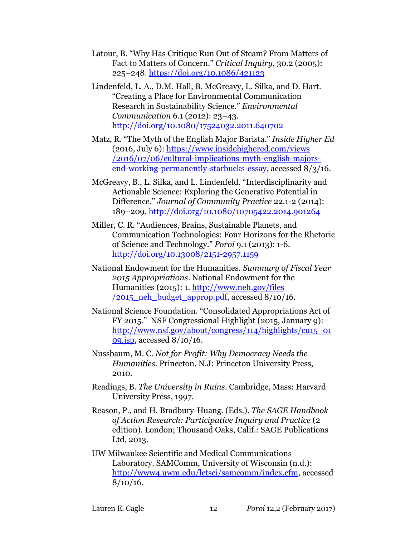- Latour, B. "Why Has Critique Run Out of Steam? From Matters of Fact to Matters of Concern." *Critical Inquiry*, 30.2 (2005): 225–248. <https://doi.org/10.1086/421123>
- Lindenfeld, L. A., D.M. Hall, B. McGreavy, L. Silka, and D. Hart. "Creating a Place for Environmental Communication Research in Sustainability Science." *Environmental Communication* 6.1 (2012): 23–43. <http://doi.org/10.1080/17524032.2011.640702>
- Matz, R. "The Myth of the English Major Barista." *Inside Higher Ed* (2016, July 6): [https://www.insidehighered.com/views](https://www.insidehighered.com/views/2016/07/06/cultural-implications-myth-english-majors-end-working-permanently-starbucks-essay) [/2016/07/06/cultural-implications-myth-english-majors](https://www.insidehighered.com/views/2016/07/06/cultural-implications-myth-english-majors-end-working-permanently-starbucks-essay)[end-working-permanently-starbucks-essay,](https://www.insidehighered.com/views/2016/07/06/cultural-implications-myth-english-majors-end-working-permanently-starbucks-essay) accessed 8/3/16.
- McGreavy, B., L. Silka, and L. Lindenfeld. "Interdisciplinarity and Actionable Science: Exploring the Generative Potential in Difference." *Journal of Community Practice* 22.1-2 (2014): 189–209.<http://doi.org/10.1080/10705422.2014.901264>
- Miller, C. R. "Audiences, Brains, Sustainable Planets, and Communication Technologies: Four Horizons for the Rhetoric of Science and Technology." *Poroi* 9.1 (2013): 1-6. <http://doi.org/10.13008/2151-2957.1159>
- National Endowment for the Humanities. *Summary of Fiscal Year 2015 Appropriations*. National Endowment for the Humanities (2015): 1. [http://www.neh.gov/files](http://www.neh.gov/files/2015_neh_budget_approp.pdf)  $\sqrt{2015}$  neh budget approp.pdf, accessed 8/10/16.
- National Science Foundation. "Consolidated Appropriations Act of FY 2015." NSF Congressional Highlight (2015, January 9): [http://www.nsf.gov/about/congress/114/highlights/cu15\\_01](http://www.nsf.gov/about/congress/114/highlights/cu15_0109.jsp) [09.jsp,](http://www.nsf.gov/about/congress/114/highlights/cu15_0109.jsp) accessed 8/10/16.
- Nussbaum, M. C. *Not for Profit: Why Democracy Needs the Humanities*. Princeton, N.J: Princeton University Press, 2010.
- Readings, B. *The University in Ruins*. Cambridge, Mass: Harvard University Press, 1997.
- Reason, P., and H. Bradbury-Huang. (Eds.). *The SAGE Handbook of Action Research: Participative Inquiry and Practice* (2 edition). London; Thousand Oaks, Calif.: SAGE Publications Ltd, 2013.
- UW Milwaukee Scientific and Medical Communications Laboratory. SAMComm, University of Wisconsin (n.d.): [http://www4.uwm.edu/letsci/samcomm/index.cfm,](http://www4.uwm.edu/letsci/samcomm/index.cfm) accessed  $8/10/16$ .